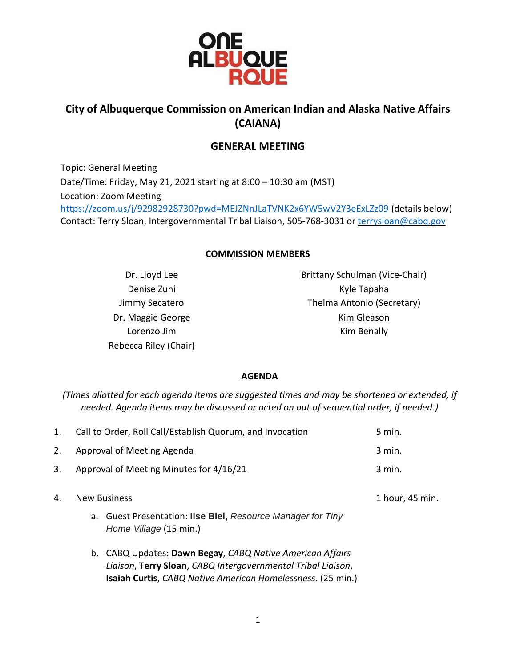

# **City of Albuquerque Commission on American Indian and Alaska Native Affairs (CAIANA)**

## **GENERAL MEETING**

Topic: General Meeting Date/Time: Friday, May 21, 2021 starting at 8:00 – 10:30 am (MST) Location: Zoom Meeting <https://zoom.us/j/92982928730?pwd=MEJZNnJLaTVNK2x6YW5wV2Y3eExLZz09> (details below) Contact: Terry Sloan, Intergovernmental Tribal Liaison, 505-768-3031 or [terrysloan@cabq.gov](mailto:terrysloan@cabq.gov)

#### **COMMISSION MEMBERS**

Dr. Lloyd Lee Denise Zuni Jimmy Secatero Dr. Maggie George Lorenzo Jim Rebecca Riley (Chair) Brittany Schulman (Vice-Chair) Kyle Tapaha Thelma Antonio (Secretary) Kim Gleason Kim Benally

#### **AGENDA**

*(Times allotted for each agenda items are suggested times and may be shortened or extended, if needed. Agenda items may be discussed or acted on out of sequential order, if needed.)*

| 1. | Call to Order, Roll Call/Establish Quorum, and Invocation |                                                                                                                                                                                          | 5 min.          |
|----|-----------------------------------------------------------|------------------------------------------------------------------------------------------------------------------------------------------------------------------------------------------|-----------------|
| 2. | Approval of Meeting Agenda                                |                                                                                                                                                                                          | 3 min.          |
| 3. | Approval of Meeting Minutes for 4/16/21                   |                                                                                                                                                                                          | 3 min.          |
| 4. | <b>New Business</b>                                       |                                                                                                                                                                                          | 1 hour, 45 min. |
|    |                                                           | a. Guest Presentation: Ilse Biel, Resource Manager for Tiny<br>Home Village (15 min.)                                                                                                    |                 |
|    |                                                           | b. CABQ Updates: Dawn Begay, CABQ Native American Affairs<br>Liaison, Terry Sloan, CABQ Intergovernmental Tribal Liaison,<br>Isaiah Curtis, CABQ Native American Homelessness. (25 min.) |                 |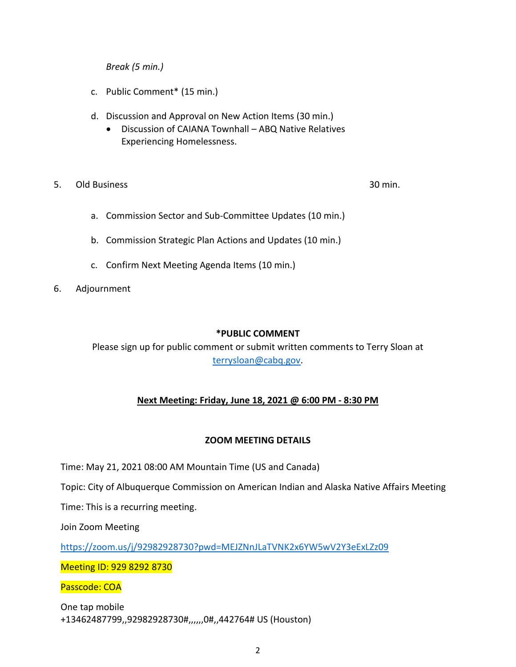*Break (5 min.)*

- c. Public Comment\* (15 min.)
- d. Discussion and Approval on New Action Items (30 min.)
	- Discussion of CAIANA Townhall ABQ Native Relatives Experiencing Homelessness.
- 5. Old Business 30 min.

- a. Commission Sector and Sub-Committee Updates (10 min.)
- b. Commission Strategic Plan Actions and Updates (10 min.)
- c. Confirm Next Meeting Agenda Items (10 min.)
- 6. Adjournment

#### **\*PUBLIC COMMENT**

Please sign up for public comment or submit written comments to Terry Sloan at [terrysloan@cabq.gov.](mailto:terrysloan@cabq.gov)

### **Next Meeting: Friday, June 18, 2021 @ 6:00 PM - 8:30 PM**

#### **ZOOM MEETING DETAILS**

Time: May 21, 2021 08:00 AM Mountain Time (US and Canada)

Topic: City of Albuquerque Commission on American Indian and Alaska Native Affairs Meeting

Time: This is a recurring meeting.

Join Zoom Meeting

<https://zoom.us/j/92982928730?pwd=MEJZNnJLaTVNK2x6YW5wV2Y3eExLZz09>

Meeting ID: 929 8292 8730

Passcode: COA

One tap mobile +13462487799,,92982928730#,,,,,,0#,,442764# US (Houston)